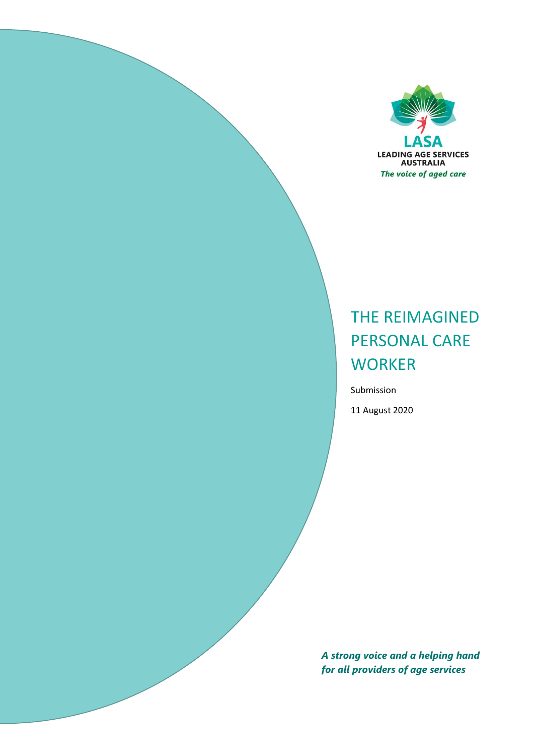

# THE REIMAGINED PERSONAL CARE **WORKER**

Submission

11 August 2020

*A strong voice and a helping hand for all providers of age services*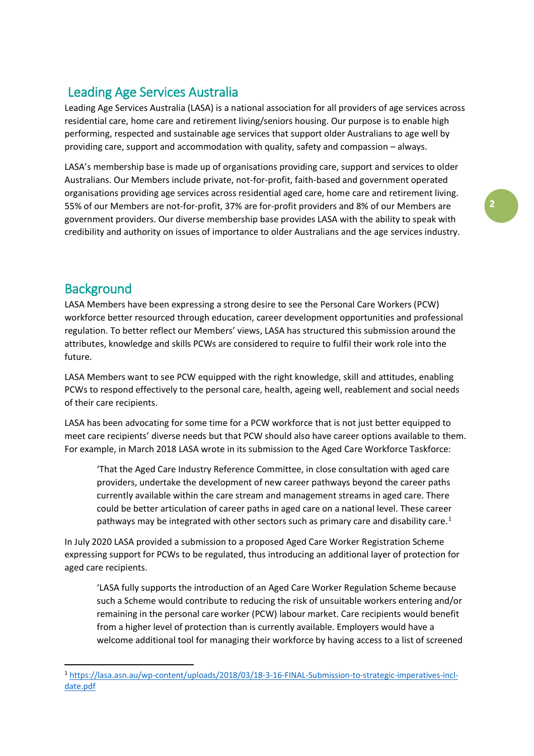# Leading Age Services Australia

Leading Age Services Australia (LASA) is a national association for all providers of age services across residential care, home care and retirement living/seniors housing. Our purpose is to enable high performing, respected and sustainable age services that support older Australians to age well by providing care, support and accommodation with quality, safety and compassion – always.

LASA's membership base is made up of organisations providing care, support and services to older Australians. Our Members include private, not-for-profit, faith-based and government operated organisations providing age services across residential aged care, home care and retirement living. 55% of our Members are not-for-profit, 37% are for-profit providers and 8% of our Members are government providers. Our diverse membership base provides LASA with the ability to speak with credibility and authority on issues of importance to older Australians and the age services industry.

# **Background**

1

LASA Members have been expressing a strong desire to see the Personal Care Workers (PCW) workforce better resourced through education, career development opportunities and professional regulation. To better reflect our Members' views, LASA has structured this submission around the attributes, knowledge and skills PCWs are considered to require to fulfil their work role into the future.

LASA Members want to see PCW equipped with the right knowledge, skill and attitudes, enabling PCWs to respond effectively to the personal care, health, ageing well, reablement and social needs of their care recipients.

LASA has been advocating for some time for a PCW workforce that is not just better equipped to meet care recipients' diverse needs but that PCW should also have career options available to them. For example, in March 2018 LASA wrote in its submission to the Aged Care Workforce Taskforce:

'That the Aged Care Industry Reference Committee, in close consultation with aged care providers, undertake the development of new career pathways beyond the career paths currently available within the care stream and management streams in aged care. There could be better articulation of career paths in aged care on a national level. These career pathways may be integrated with other sectors such as primary care and disability care.<sup>1</sup>

In July 2020 LASA provided a submission to a proposed Aged Care Worker Registration Scheme expressing support for PCWs to be regulated, thus introducing an additional layer of protection for aged care recipients.

'LASA fully supports the introduction of an Aged Care Worker Regulation Scheme because such a Scheme would contribute to reducing the risk of unsuitable workers entering and/or remaining in the personal care worker (PCW) labour market. Care recipients would benefit from a higher level of protection than is currently available. Employers would have a welcome additional tool for managing their workforce by having access to a list of screened

<sup>1</sup> [https://lasa.asn.au/wp-content/uploads/2018/03/18-3-16-FINAL-Submission-to-strategic-imperatives-incl](https://lasa.asn.au/wp-content/uploads/2018/03/18-3-16-FINAL-Submission-to-strategic-imperatives-incl-date.pdf)[date.pdf](https://lasa.asn.au/wp-content/uploads/2018/03/18-3-16-FINAL-Submission-to-strategic-imperatives-incl-date.pdf)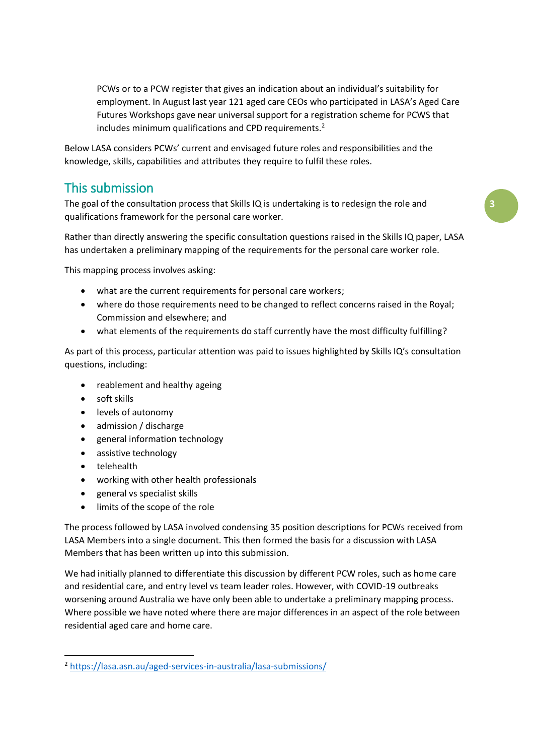PCWs or to a PCW register that gives an indication about an individual's suitability for employment. In August last year 121 aged care CEOs who participated in LASA's Aged Care Futures Workshops gave near universal support for a registration scheme for PCWS that includes minimum qualifications and CPD requirements.<sup>2</sup>

Below LASA considers PCWs' current and envisaged future roles and responsibilities and the knowledge, skills, capabilities and attributes they require to fulfil these roles.

# This submission

The goal of the consultation process that Skills IQ is undertaking is to redesign the role and qualifications framework for the personal care worker.

Rather than directly answering the specific consultation questions raised in the Skills IQ paper, LASA has undertaken a preliminary mapping of the requirements for the personal care worker role.

This mapping process involves asking:

- what are the current requirements for personal care workers;
- where do those requirements need to be changed to reflect concerns raised in the Royal; Commission and elsewhere; and
- what elements of the requirements do staff currently have the most difficulty fulfilling?

As part of this process, particular attention was paid to issues highlighted by Skills IQ's consultation questions, including:

- reablement and healthy ageing
- soft skills
- levels of autonomy
- admission / discharge
- general information technology
- assistive technology
- telehealth

1

- working with other health professionals
- general vs specialist skills
- limits of the scope of the role

The process followed by LASA involved condensing 35 position descriptions for PCWs received from LASA Members into a single document. This then formed the basis for a discussion with LASA Members that has been written up into this submission.

We had initially planned to differentiate this discussion by different PCW roles, such as home care and residential care, and entry level vs team leader roles. However, with COVID-19 outbreaks worsening around Australia we have only been able to undertake a preliminary mapping process. Where possible we have noted where there are major differences in an aspect of the role between residential aged care and home care.

<sup>2</sup> <https://lasa.asn.au/aged-services-in-australia/lasa-submissions/>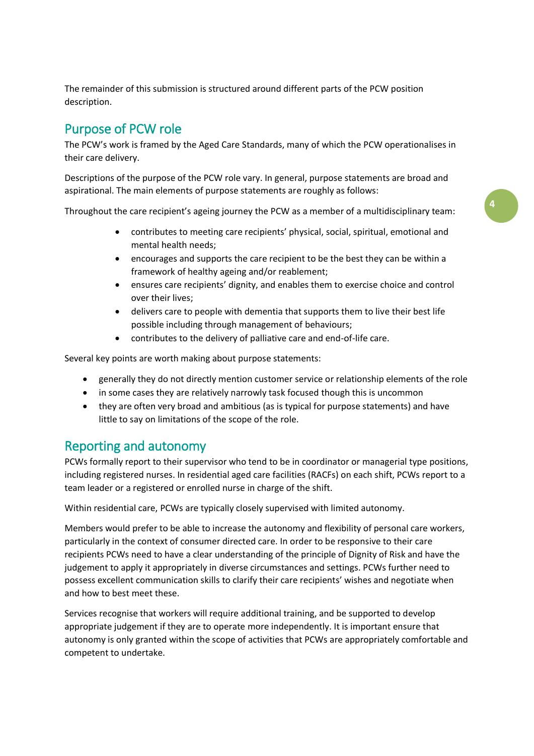The remainder of this submission is structured around different parts of the PCW position description.

# Purpose of PCW role

The PCW's work is framed by the Aged Care Standards, many of which the PCW operationalises in their care delivery.

Descriptions of the purpose of the PCW role vary. In general, purpose statements are broad and aspirational. The main elements of purpose statements are roughly as follows:

Throughout the care recipient's ageing journey the PCW as a member of a multidisciplinary team:

- contributes to meeting care recipients' physical, social, spiritual, emotional and mental health needs;
- **•** encourages and supports the care recipient to be the best they can be within a framework of healthy ageing and/or reablement;
- ensures care recipients' dignity, and enables them to exercise choice and control over their lives;
- delivers care to people with dementia that supports them to live their best life possible including through management of behaviours;
- contributes to the delivery of palliative care and end-of-life care.

Several key points are worth making about purpose statements:

- generally they do not directly mention customer service or relationship elements of the role
- in some cases they are relatively narrowly task focused though this is uncommon
- they are often very broad and ambitious (as is typical for purpose statements) and have little to say on limitations of the scope of the role.

# Reporting and autonomy

PCWs formally report to their supervisor who tend to be in coordinator or managerial type positions, including registered nurses. In residential aged care facilities (RACFs) on each shift, PCWs report to a team leader or a registered or enrolled nurse in charge of the shift.

Within residential care, PCWs are typically closely supervised with limited autonomy.

Members would prefer to be able to increase the autonomy and flexibility of personal care workers, particularly in the context of consumer directed care. In order to be responsive to their care recipients PCWs need to have a clear understanding of the principle of Dignity of Risk and have the judgement to apply it appropriately in diverse circumstances and settings. PCWs further need to possess excellent communication skills to clarify their care recipients' wishes and negotiate when and how to best meet these.

Services recognise that workers will require additional training, and be supported to develop appropriate judgement if they are to operate more independently. It is important ensure that autonomy is only granted within the scope of activities that PCWs are appropriately comfortable and competent to undertake.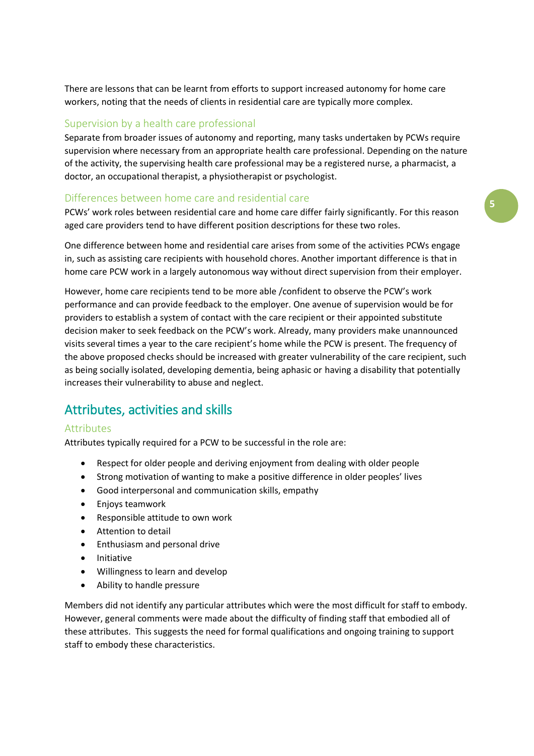There are lessons that can be learnt from efforts to support increased autonomy for home care workers, noting that the needs of clients in residential care are typically more complex.

### Supervision by a health care professional

Separate from broader issues of autonomy and reporting, many tasks undertaken by PCWs require supervision where necessary from an appropriate health care professional. Depending on the nature of the activity, the supervising health care professional may be a registered nurse, a pharmacist, a doctor, an occupational therapist, a physiotherapist or psychologist.

#### Differences between home care and residential care

PCWs' work roles between residential care and home care differ fairly significantly. For this reason aged care providers tend to have different position descriptions for these two roles.

One difference between home and residential care arises from some of the activities PCWs engage in, such as assisting care recipients with household chores. Another important difference is that in home care PCW work in a largely autonomous way without direct supervision from their employer.

However, home care recipients tend to be more able /confident to observe the PCW's work performance and can provide feedback to the employer. One avenue of supervision would be for providers to establish a system of contact with the care recipient or their appointed substitute decision maker to seek feedback on the PCW's work. Already, many providers make unannounced visits several times a year to the care recipient's home while the PCW is present. The frequency of the above proposed checks should be increased with greater vulnerability of the care recipient, such as being socially isolated, developing dementia, being aphasic or having a disability that potentially increases their vulnerability to abuse and neglect.

# Attributes, activities and skills

#### **Attributes**

Attributes typically required for a PCW to be successful in the role are:

- Respect for older people and deriving enjoyment from dealing with older people
- Strong motivation of wanting to make a positive difference in older peoples' lives
- Good interpersonal and communication skills, empathy
- Enjoys teamwork
- Responsible attitude to own work
- Attention to detail
- Enthusiasm and personal drive
- Initiative
- Willingness to learn and develop
- Ability to handle pressure

Members did not identify any particular attributes which were the most difficult for staff to embody. However, general comments were made about the difficulty of finding staff that embodied all of these attributes. This suggests the need for formal qualifications and ongoing training to support staff to embody these characteristics.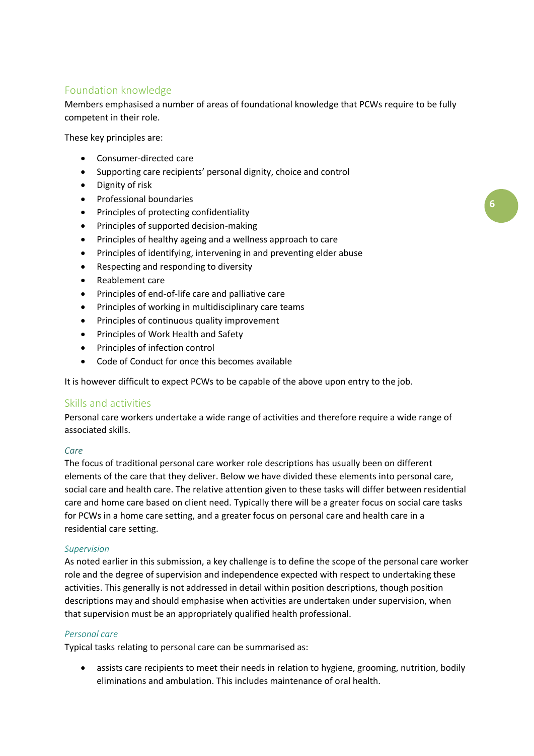### Foundation knowledge

Members emphasised a number of areas of foundational knowledge that PCWs require to be fully competent in their role.

These key principles are:

- Consumer-directed care
- Supporting care recipients' personal dignity, choice and control
- Dignity of risk
- **•** Professional boundaries
- Principles of protecting confidentiality
- Principles of supported decision-making
- Principles of healthy ageing and a wellness approach to care
- Principles of identifying, intervening in and preventing elder abuse
- Respecting and responding to diversity
- Reablement care
- Principles of end-of-life care and palliative care
- Principles of working in multidisciplinary care teams
- Principles of continuous quality improvement
- Principles of Work Health and Safety
- Principles of infection control
- Code of Conduct for once this becomes available

It is however difficult to expect PCWs to be capable of the above upon entry to the job.

### Skills and activities

Personal care workers undertake a wide range of activities and therefore require a wide range of associated skills.

#### *Care*

The focus of traditional personal care worker role descriptions has usually been on different elements of the care that they deliver. Below we have divided these elements into personal care, social care and health care. The relative attention given to these tasks will differ between residential care and home care based on client need. Typically there will be a greater focus on social care tasks for PCWs in a home care setting, and a greater focus on personal care and health care in a residential care setting.

#### *Supervision*

As noted earlier in this submission, a key challenge is to define the scope of the personal care worker role and the degree of supervision and independence expected with respect to undertaking these activities. This generally is not addressed in detail within position descriptions, though position descriptions may and should emphasise when activities are undertaken under supervision, when that supervision must be an appropriately qualified health professional.

#### *Personal care*

Typical tasks relating to personal care can be summarised as:

 assists care recipients to meet their needs in relation to hygiene, grooming, nutrition, bodily eliminations and ambulation. This includes maintenance of oral health.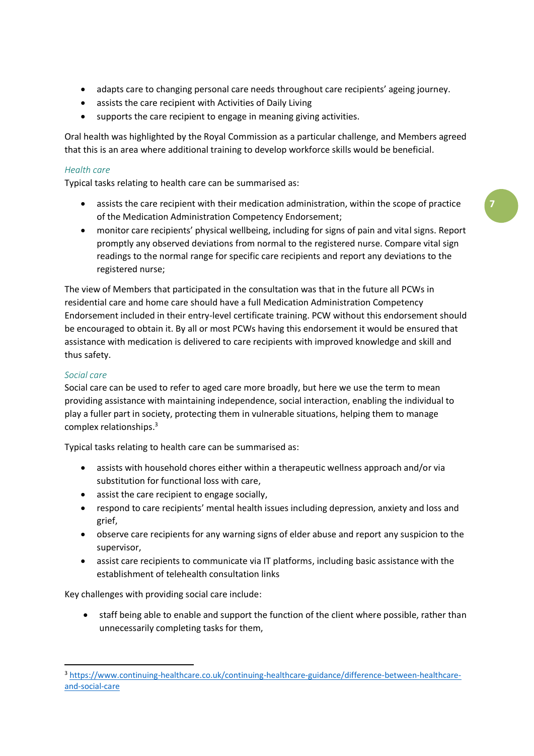- adapts care to changing personal care needs throughout care recipients' ageing journey.
- assists the care recipient with Activities of Daily Living
- supports the care recipient to engage in meaning giving activities.

Oral health was highlighted by the Royal Commission as a particular challenge, and Members agreed that this is an area where additional training to develop workforce skills would be beneficial.

### *Health care*

Typical tasks relating to health care can be summarised as:

- assists the care recipient with their medication administration, within the scope of practice of the Medication Administration Competency Endorsement;
- monitor care recipients' physical wellbeing, including for signs of pain and vital signs. Report promptly any observed deviations from normal to the registered nurse. Compare vital sign readings to the normal range for specific care recipients and report any deviations to the registered nurse;

The view of Members that participated in the consultation was that in the future all PCWs in residential care and home care should have a full Medication Administration Competency Endorsement included in their entry-level certificate training. PCW without this endorsement should be encouraged to obtain it. By all or most PCWs having this endorsement it would be ensured that assistance with medication is delivered to care recipients with improved knowledge and skill and thus safety.

#### *Social care*

1

Social care can be used to refer to aged care more broadly, but here we use the term to mean providing assistance with maintaining independence, social interaction, enabling the individual to play a fuller part in society, protecting them in vulnerable situations, helping them to manage complex relationships. 3

Typical tasks relating to health care can be summarised as:

- assists with household chores either within a therapeutic wellness approach and/or via substitution for functional loss with care,
- assist the care recipient to engage socially,
- respond to care recipients' mental health issues including depression, anxiety and loss and grief,
- observe care recipients for any warning signs of elder abuse and report any suspicion to the supervisor,
- assist care recipients to communicate via IT platforms, including basic assistance with the establishment of telehealth consultation links

Key challenges with providing social care include:

 staff being able to enable and support the function of the client where possible, rather than unnecessarily completing tasks for them,

<sup>3</sup> [https://www.continuing-healthcare.co.uk/continuing-healthcare-guidance/difference-between-healthcare](https://www.continuing-healthcare.co.uk/continuing-healthcare-guidance/difference-between-healthcare-and-social-care)[and-social-care](https://www.continuing-healthcare.co.uk/continuing-healthcare-guidance/difference-between-healthcare-and-social-care)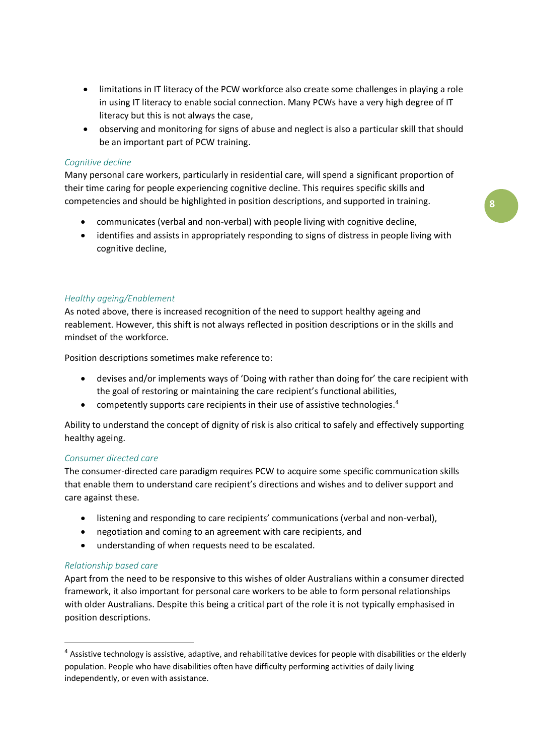- limitations in IT literacy of the PCW workforce also create some challenges in playing a role in using IT literacy to enable social connection. Many PCWs have a very high degree of IT literacy but this is not always the case,
- observing and monitoring for signs of abuse and neglect is also a particular skill that should be an important part of PCW training.

#### *Cognitive decline*

Many personal care workers, particularly in residential care, will spend a significant proportion of their time caring for people experiencing cognitive decline. This requires specific skills and competencies and should be highlighted in position descriptions, and supported in training.

- communicates (verbal and non-verbal) with people living with cognitive decline,
- identifies and assists in appropriately responding to signs of distress in people living with cognitive decline,

#### *Healthy ageing/Enablement*

As noted above, there is increased recognition of the need to support healthy ageing and reablement. However, this shift is not always reflected in position descriptions or in the skills and mindset of the workforce.

Position descriptions sometimes make reference to:

- devises and/or implements ways of 'Doing with rather than doing for' the care recipient with the goal of restoring or maintaining the care recipient's functional abilities,
- competently supports care recipients in their use of assistive technologies. $4$

Ability to understand the concept of dignity of risk is also critical to safely and effectively supporting healthy ageing.

#### *Consumer directed care*

The consumer-directed care paradigm requires PCW to acquire some specific communication skills that enable them to understand care recipient's directions and wishes and to deliver support and care against these.

- listening and responding to care recipients' communications (verbal and non-verbal),
- negotiation and coming to an agreement with care recipients, and
- understanding of when requests need to be escalated.

#### *Relationship based care*

1

Apart from the need to be responsive to this wishes of older Australians within a consumer directed framework, it also important for personal care workers to be able to form personal relationships with older Australians. Despite this being a critical part of the role it is not typically emphasised in position descriptions.

<sup>&</sup>lt;sup>4</sup> Assistive technology is assistive, adaptive, and rehabilitative devices for people with disabilities or the elderly population. People who have disabilities often have difficulty performing activities of daily living independently, or even with assistance.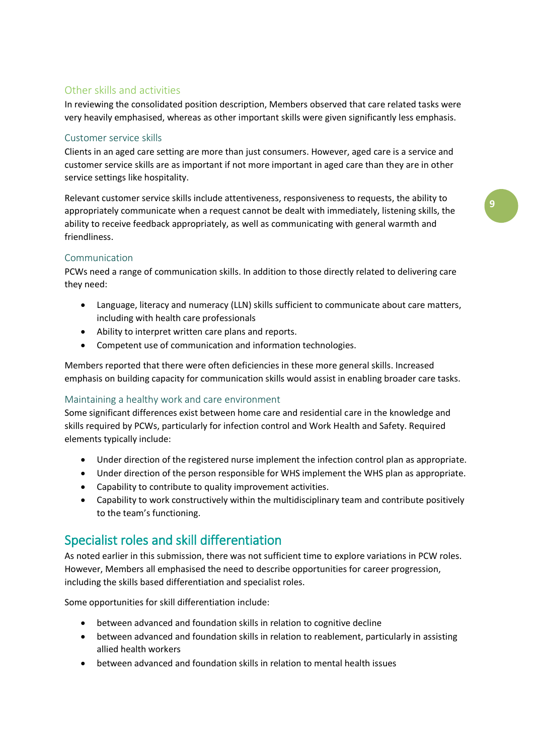## Other skills and activities

In reviewing the consolidated position description, Members observed that care related tasks were very heavily emphasised, whereas as other important skills were given significantly less emphasis.

### Customer service skills

Clients in an aged care setting are more than just consumers. However, aged care is a service and customer service skills are as important if not more important in aged care than they are in other service settings like hospitality.

Relevant customer service skills include attentiveness, responsiveness to requests, the ability to appropriately communicate when a request cannot be dealt with immediately, listening skills, the ability to receive feedback appropriately, as well as communicating with general warmth and friendliness.

### Communication

PCWs need a range of communication skills. In addition to those directly related to delivering care they need:

- Language, literacy and numeracy (LLN) skills sufficient to communicate about care matters, including with health care professionals
- Ability to interpret written care plans and reports.
- Competent use of communication and information technologies.

Members reported that there were often deficiencies in these more general skills. Increased emphasis on building capacity for communication skills would assist in enabling broader care tasks.

### Maintaining a healthy work and care environment

Some significant differences exist between home care and residential care in the knowledge and skills required by PCWs, particularly for infection control and Work Health and Safety. Required elements typically include:

- Under direction of the registered nurse implement the infection control plan as appropriate.
- Under direction of the person responsible for WHS implement the WHS plan as appropriate.
- Capability to contribute to quality improvement activities.
- Capability to work constructively within the multidisciplinary team and contribute positively to the team's functioning.

# Specialist roles and skill differentiation

As noted earlier in this submission, there was not sufficient time to explore variations in PCW roles. However, Members all emphasised the need to describe opportunities for career progression, including the skills based differentiation and specialist roles.

Some opportunities for skill differentiation include:

- between advanced and foundation skills in relation to cognitive decline
- between advanced and foundation skills in relation to reablement, particularly in assisting allied health workers
- between advanced and foundation skills in relation to mental health issues